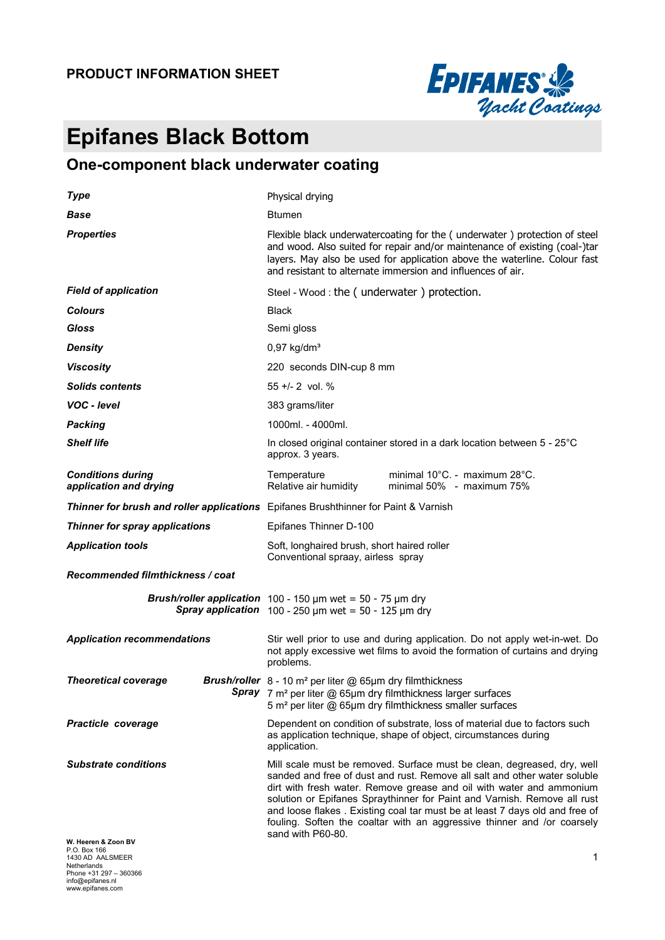#### **PRODUCT INFORMATION SHEET**



# **Epifanes Black Bottom**

## **One-component black underwater coating**

| <b>Type</b>                                                                                                          | Physical drying                                                                                                                                                                                                                                                                                                                                                                                                                                                                         |  |  |  |
|----------------------------------------------------------------------------------------------------------------------|-----------------------------------------------------------------------------------------------------------------------------------------------------------------------------------------------------------------------------------------------------------------------------------------------------------------------------------------------------------------------------------------------------------------------------------------------------------------------------------------|--|--|--|
| <b>Base</b>                                                                                                          | <b>Btumen</b>                                                                                                                                                                                                                                                                                                                                                                                                                                                                           |  |  |  |
| <b>Properties</b>                                                                                                    | Flexible black underwatercoating for the (underwater) protection of steel<br>and wood. Also suited for repair and/or maintenance of existing (coal-)tar<br>layers. May also be used for application above the waterline. Colour fast<br>and resistant to alternate immersion and influences of air.                                                                                                                                                                                     |  |  |  |
| <b>Field of application</b>                                                                                          | Steel - Wood : the (underwater) protection.                                                                                                                                                                                                                                                                                                                                                                                                                                             |  |  |  |
| <b>Colours</b>                                                                                                       | <b>Black</b>                                                                                                                                                                                                                                                                                                                                                                                                                                                                            |  |  |  |
| Gloss                                                                                                                | Semi gloss                                                                                                                                                                                                                                                                                                                                                                                                                                                                              |  |  |  |
| <b>Density</b>                                                                                                       | $0,97$ kg/dm <sup>3</sup>                                                                                                                                                                                                                                                                                                                                                                                                                                                               |  |  |  |
| <b>Viscosity</b>                                                                                                     | 220 seconds DIN-cup 8 mm                                                                                                                                                                                                                                                                                                                                                                                                                                                                |  |  |  |
| <b>Solids contents</b>                                                                                               | $55 +/- 2$ vol. %                                                                                                                                                                                                                                                                                                                                                                                                                                                                       |  |  |  |
| VOC - Ievel                                                                                                          | 383 grams/liter                                                                                                                                                                                                                                                                                                                                                                                                                                                                         |  |  |  |
| <b>Packing</b>                                                                                                       | 1000ml. - 4000ml.                                                                                                                                                                                                                                                                                                                                                                                                                                                                       |  |  |  |
| <b>Shelf life</b>                                                                                                    | In closed original container stored in a dark location between 5 - 25°C<br>approx. 3 years.                                                                                                                                                                                                                                                                                                                                                                                             |  |  |  |
| <b>Conditions during</b><br>application and drying                                                                   | minimal 10°C. - maximum 28°C.<br>Temperature<br>Relative air humidity<br>minimal 50% - maximum 75%                                                                                                                                                                                                                                                                                                                                                                                      |  |  |  |
| Thinner for brush and roller applications Epifanes Brushthinner for Paint & Varnish                                  |                                                                                                                                                                                                                                                                                                                                                                                                                                                                                         |  |  |  |
| Thinner for spray applications                                                                                       | Epifanes Thinner D-100                                                                                                                                                                                                                                                                                                                                                                                                                                                                  |  |  |  |
| <b>Application tools</b>                                                                                             | Soft, longhaired brush, short haired roller<br>Conventional spraay, airless spray                                                                                                                                                                                                                                                                                                                                                                                                       |  |  |  |
| Recommended filmthickness / coat                                                                                     |                                                                                                                                                                                                                                                                                                                                                                                                                                                                                         |  |  |  |
|                                                                                                                      | <b>Brush/roller application</b> 100 - 150 $\mu$ m wet = 50 - 75 $\mu$ m dry<br>Spray application $100 - 250 \mu m$ wet = 50 - 125 $\mu m$ dry                                                                                                                                                                                                                                                                                                                                           |  |  |  |
| <b>Application recommendations</b>                                                                                   | Stir well prior to use and during application. Do not apply wet-in-wet. Do<br>not apply excessive wet films to avoid the formation of curtains and drying<br>problems.                                                                                                                                                                                                                                                                                                                  |  |  |  |
| <b>Theoretical coverage</b>                                                                                          | <b>Brush/roller</b> $8 - 10$ m <sup>2</sup> per liter @ 65 $\mu$ m dry filmthickness<br><b>Spray</b> 7 $m^2$ per liter @ 65 $\mu$ m dry filmthickness larger surfaces<br>5 m <sup>2</sup> per liter @ 65µm dry filmthickness smaller surfaces                                                                                                                                                                                                                                           |  |  |  |
| <b>Practicle coverage</b>                                                                                            | Dependent on condition of substrate, loss of material due to factors such<br>as application technique, shape of object, circumstances during<br>application.                                                                                                                                                                                                                                                                                                                            |  |  |  |
| <b>Substrate conditions</b>                                                                                          | Mill scale must be removed. Surface must be clean, degreased, dry, well<br>sanded and free of dust and rust. Remove all salt and other water soluble<br>dirt with fresh water. Remove grease and oil with water and ammonium<br>solution or Epifanes Spraythinner for Paint and Varnish. Remove all rust<br>and loose flakes. Existing coal tar must be at least 7 days old and free of<br>fouling. Soften the coaltar with an aggressive thinner and /or coarsely<br>sand with P60-80. |  |  |  |
| W. Heeren & Zoon BV<br>P.O. Box 166<br>1430 AD AALSMEER<br>Netherlands<br>Phone +31 297 - 360366<br>info@epifanes.nl | 1                                                                                                                                                                                                                                                                                                                                                                                                                                                                                       |  |  |  |